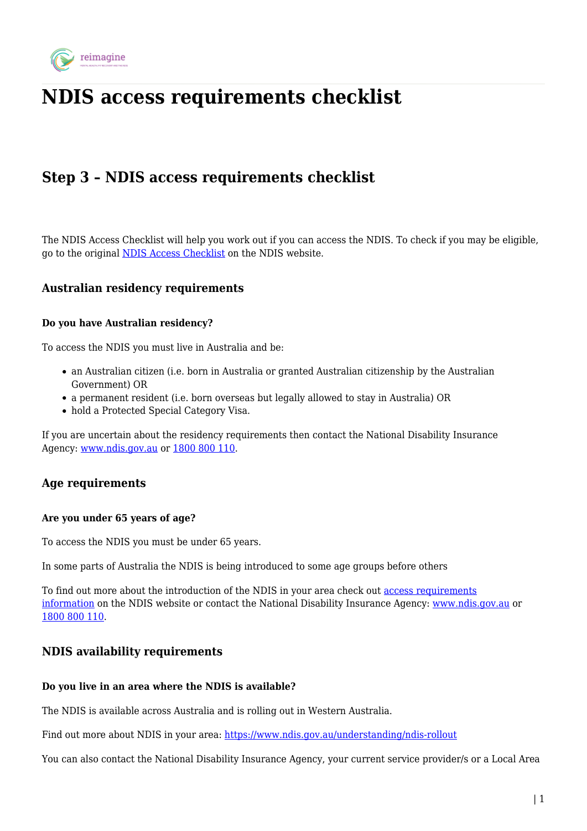

# **NDIS access requirements checklist**

## **Step 3 – NDIS access requirements checklist**

The NDIS Access Checklist will help you work out if you can access the NDIS. To check if you may be eligible, go to the original [NDIS Access Checklist](https://www.ndis.gov.au/applying-access-ndis/am-i-eligible) on the NDIS website.

## **Australian residency requirements**

#### **Do you have Australian residency?**

To access the NDIS you must live in Australia and be:

- an Australian citizen (i.e. born in Australia or granted Australian citizenship by the Australian Government) OR
- a permanent resident (i.e. born overseas but legally allowed to stay in Australia) OR
- hold a Protected Special Category Visa.

If you are uncertain about the residency requirements then contact the National Disability Insurance Agency: [www.ndis.gov.au](http://www.ndis.gov.au/) or [1800 800 110](#page--1-0).

## **Age requirements**

#### **Are you under 65 years of age?**

To access the NDIS you must be under 65 years.

In some parts of Australia the NDIS is being introduced to some age groups before others

To find out more about the introduction of the NDIS in your area check out [access requirements](https://www.ndis.gov.au/understanding/ndis-rollout) [information](https://www.ndis.gov.au/understanding/ndis-rollout) on the NDIS website or contact the National Disability Insurance Agency: [www.ndis.gov.au](http://www.ndis.gov.au/) or [1800 800 110](#page--1-0).

## **NDIS availability requirements**

#### **Do you live in an area where the NDIS is available?**

The NDIS is available across Australia and is rolling out in Western Australia.

Find out more about NDIS in your area: <https://www.ndis.gov.au/understanding/ndis-rollout>

You can also contact the National Disability Insurance Agency, your current service provider/s or a Local Area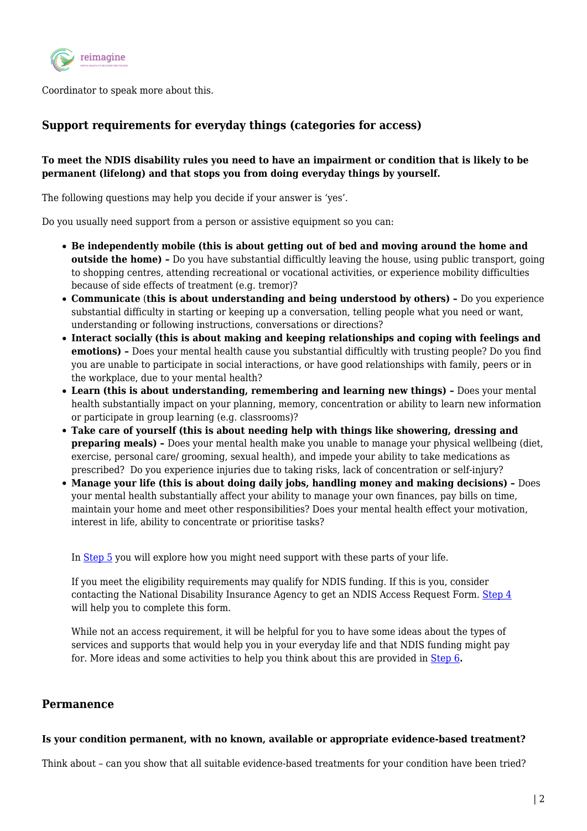

Coordinator to speak more about this.

## **Support requirements for everyday things (categories for access)**

## **To meet the NDIS disability rules you need to have an impairment or condition that is likely to be permanent (lifelong) and that stops you from doing everyday things by yourself.**

The following questions may help you decide if your answer is 'yes'.

Do you usually need support from a person or assistive equipment so you can:

- **Be independently mobile (this is about getting out of bed and moving around the home and outside the home)** - Do you have substantial difficultly leaving the house, using public transport, going to shopping centres, attending recreational or vocational activities, or experience mobility difficulties because of side effects of treatment (e.g. tremor)?
- **Communicate** (**this is about understanding and being understood by others)** Do you experience substantial difficulty in starting or keeping up a conversation, telling people what you need or want, understanding or following instructions, conversations or directions?
- **Interact socially (this is about making and keeping relationships and coping with feelings and emotions) –** Does your mental health cause you substantial difficultly with trusting people? Do you find you are unable to participate in social interactions, or have good relationships with family, peers or in the workplace, due to your mental health?
- **Learn (this is about understanding, remembering and learning new things)** Does your mental health substantially impact on your planning, memory, concentration or ability to learn new information or participate in group learning (e.g. classrooms)?
- **Take care of yourself (this is about needing help with things like showering, dressing and preparing meals)** - Does your mental health make you unable to manage your physical wellbeing (diet, exercise, personal care/ grooming, sexual health), and impede your ability to take medications as prescribed? Do you experience injuries due to taking risks, lack of concentration or self-injury?
- **Manage your life (this is about doing daily jobs, handling money and making decisions)** Does your mental health substantially affect your ability to manage your own finances, pay bills on time, maintain your home and meet other responsibilities? Does your mental health effect your motivation, interest in life, ability to concentrate or prioritise tasks?

In [Step 5](https://reimagine.today/reimagine-your-life/how-can-the-ndis-support-me-to-achieve-my-hopes-and-dreams/) you will explore how you might need support with these parts of your life.

If you meet the eligibility requirements may qualify for NDIS funding. If this is you, consider contacting the National Disability Insurance Agency to get an NDIS Access Request Form. [Step 4](https://reimagine.today/apply-for-ndis-support/how-to-apply-for-an-ndis-package/) will help you to complete this form.

While not an access requirement, it will be helpful for you to have some ideas about the types of services and supports that would help you in your everyday life and that NDIS funding might pay for. More ideas and some activities to help you think about this are provided in [Step 6](https://reimagine.today/plan-with-the-ndis/what-is-the-ndis-planning-process/)**.**

## **Permanence**

#### **Is your condition permanent, with no known, available or appropriate evidence-based treatment?**

Think about – can you show that all suitable evidence-based treatments for your condition have been tried?